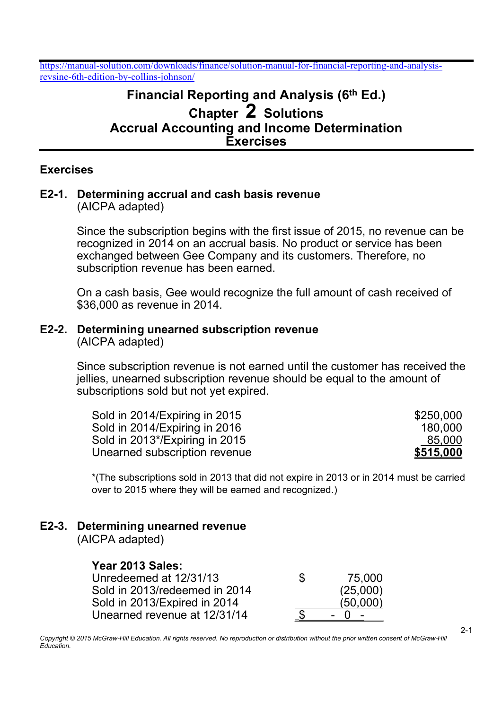# Financial Reporting and Analysis (6th Ed.) Chapter 2 Solutions Accrual Accounting and Income Determination Exercises

#### Exercises

#### E2-1. Determining accrual and cash basis revenue (AICPA adapted)

 Since the subscription begins with the first issue of 2015, no revenue can be recognized in 2014 on an accrual basis. No product or service has been exchanged between Gee Company and its customers. Therefore, no subscription revenue has been earned.

 On a cash basis, Gee would recognize the full amount of cash received of \$36,000 as revenue in 2014.

#### E2-2. Determining unearned subscription revenue (AICPA adapted)

Since subscription revenue is not earned until the customer has received the jellies, unearned subscription revenue should be equal to the amount of subscriptions sold but not yet expired.

| Sold in 2014/Expiring in 2015  | \$250,000        |
|--------------------------------|------------------|
| Sold in 2014/Expiring in 2016  | 180,000          |
| Sold in 2013*/Expiring in 2015 | 85,000           |
| Unearned subscription revenue  | <u>\$515,000</u> |

\*(The subscriptions sold in 2013 that did not expire in 2013 or in 2014 must be carried over to 2015 where they will be earned and recognized.)

# E2-3. Determining unearned revenue

(AICPA adapted)

## Year 2013 Sales:

| Unredeemed at 12/31/13        | S | 75,000   |
|-------------------------------|---|----------|
| Sold in 2013/redeemed in 2014 |   | (25,000) |
| Sold in 2013/Expired in 2014  |   | (50.000) |
| Unearned revenue at 12/31/14  |   |          |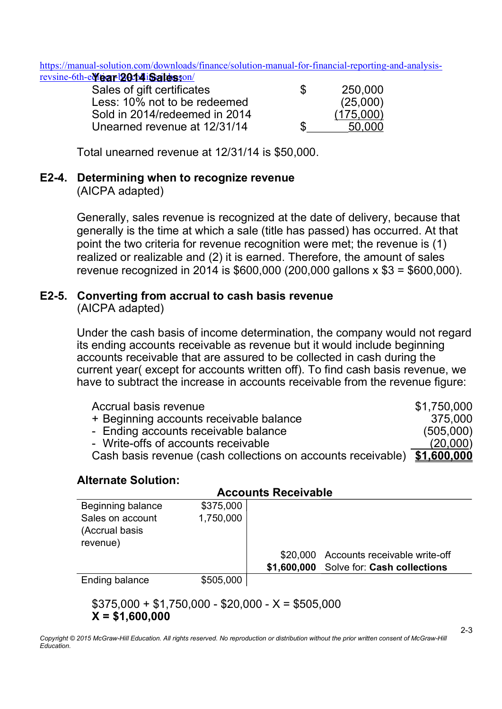https://manual-solution.com/downloads/finance/solution-manual-for-financial-reporting-and-analysisrevsine-6th-e**Mear 2014 Sales**son/

| Sales of gift certificates    | \$ | 250,000   |
|-------------------------------|----|-----------|
| Less: 10% not to be redeemed  |    | (25,000)  |
| Sold in 2014/redeemed in 2014 |    | (175,000) |
| Unearned revenue at 12/31/14  | S  | 50,000    |

Total unearned revenue at 12/31/14 is \$50,000.

#### E2-4. Determining when to recognize revenue

(AICPA adapted)

Generally, sales revenue is recognized at the date of delivery, because that generally is the time at which a sale (title has passed) has occurred. At that point the two criteria for revenue recognition were met; the revenue is (1) realized or realizable and (2) it is earned. Therefore, the amount of sales revenue recognized in 2014 is \$600,000 (200,000 gallons x \$3 = \$600,000).

#### E2-5. Converting from accrual to cash basis revenue (AICPA adapted)

 Under the cash basis of income determination, the company would not regard its ending accounts receivable as revenue but it would include beginning accounts receivable that are assured to be collected in cash during the current year( except for accounts written off). To find cash basis revenue, we have to subtract the increase in accounts receivable from the revenue figure:

| Accrual basis revenue                                                    | \$1,750,000 |
|--------------------------------------------------------------------------|-------------|
| + Beginning accounts receivable balance                                  | 375,000     |
| - Ending accounts receivable balance                                     | (505,000)   |
| - Write-offs of accounts receivable                                      | (20,000)    |
| Cash basis revenue (cash collections on accounts receivable) \$1,600,000 |             |

#### Alternate Solution:

| <b>Accounts Receivable</b> |           |             |                               |  |  |
|----------------------------|-----------|-------------|-------------------------------|--|--|
| Beginning balance          | \$375,000 |             |                               |  |  |
| Sales on account           | 1,750,000 |             |                               |  |  |
| (Accrual basis             |           |             |                               |  |  |
| revenue)                   |           |             |                               |  |  |
|                            |           | \$20,000    | Accounts receivable write-off |  |  |
|                            |           | \$1,600,000 | Solve for: Cash collections   |  |  |
| <b>Ending balance</b>      | \$505,000 |             |                               |  |  |
|                            |           |             |                               |  |  |

 $$375,000 + $1,750,000 - $20,000 - X = $505,000$  $X = $1,600,000$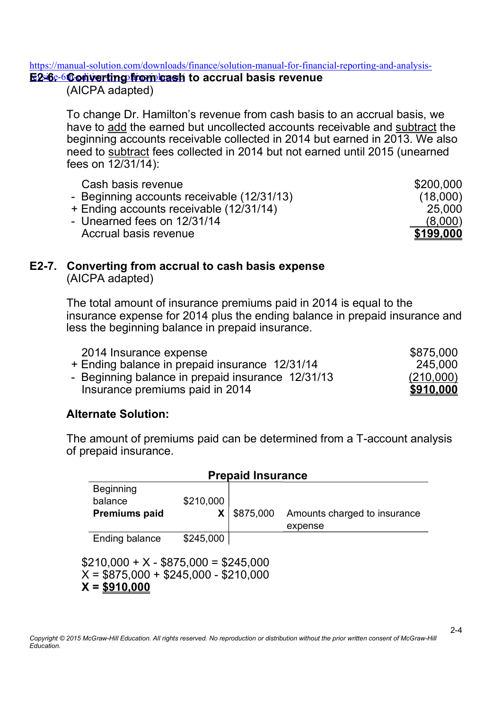#### https://manual-solution.com/downloads/finance/solution-manual-for-financial-reporting-and-analysis-

## <u>E2-6-6Converting from cash</u> to accrual basis revenue

(AICPA adapted)

To change Dr. Hamilton's revenue from cash basis to an accrual basis, we have to add the earned but uncollected accounts receivable and subtract the beginning accounts receivable collected in 2014 but earned in 2013. We also need to subtract fees collected in 2014 but not earned until 2015 (unearned fees on 12/31/14):

| Cash basis revenue                         | \$200,000 |
|--------------------------------------------|-----------|
| - Beginning accounts receivable (12/31/13) | (18,000)  |
| + Ending accounts receivable (12/31/14)    | 25,000    |
| - Unearned fees on 12/31/14                | (8,000)   |
| Accrual basis revenue                      | \$199,000 |

#### E2-7. Converting from accrual to cash basis expense (AICPA adapted)

 The total amount of insurance premiums paid in 2014 is equal to the insurance expense for 2014 plus the ending balance in prepaid insurance and less the beginning balance in prepaid insurance.

| 2014 Insurance expense                            | \$875,000 |
|---------------------------------------------------|-----------|
| + Ending balance in prepaid insurance 12/31/14    | 245,000   |
| - Beginning balance in prepaid insurance 12/31/13 | (210,000) |
| Insurance premiums paid in 2014                   | \$910,000 |

## Alternate Solution:

The amount of premiums paid can be determined from a T-account analysis of prepaid insurance.

|                                                                                                | <b>Prepaid Insurance</b> |           |                              |  |  |
|------------------------------------------------------------------------------------------------|--------------------------|-----------|------------------------------|--|--|
| <b>Beginning</b>                                                                               |                          |           |                              |  |  |
| balance                                                                                        | \$210,000                |           |                              |  |  |
| <b>Premiums paid</b>                                                                           | X                        | \$875,000 | Amounts charged to insurance |  |  |
|                                                                                                |                          |           | expense                      |  |  |
| Ending balance                                                                                 | \$245,000                |           |                              |  |  |
| $$210,000 + X - $875,000 = $245,000$<br>$X = $875,000 + $245,000 - $210,000$<br>$X = $910,000$ |                          |           |                              |  |  |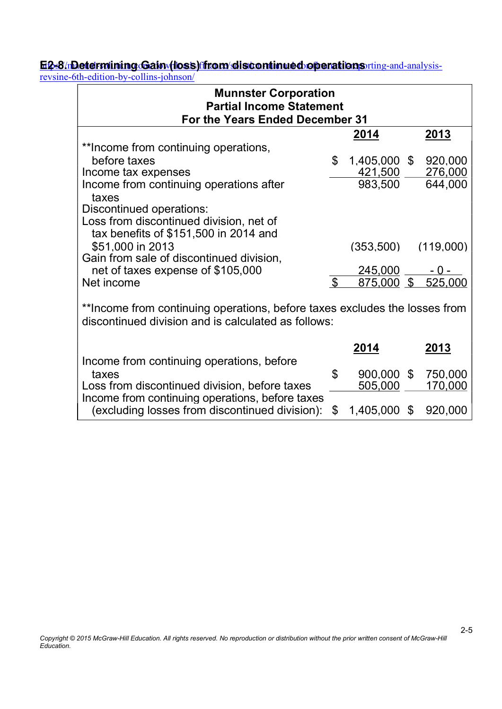#### <u>E2-8/nDetermining Gain (loss)ffrom/discontinued operations rting-and-analysis-</u> <u>E2-8/nDetermining Gain (loss) from discontinued operations i</u>

revsine-6th-edition-by-collins-johnson/

| <b>Munnster Corporation</b><br><b>Partial Income Statement</b><br>For the Years Ended December 31                                 |                |               |  |               |
|-----------------------------------------------------------------------------------------------------------------------------------|----------------|---------------|--|---------------|
|                                                                                                                                   |                | <u> 2014 </u> |  | <u> 2013 </u> |
| **Income from continuing operations,                                                                                              |                |               |  |               |
| before taxes                                                                                                                      | $\mathfrak{L}$ | 1,405,000 \$  |  | 920,000       |
| Income tax expenses                                                                                                               |                | 421,500       |  | 276,000       |
| Income from continuing operations after<br>taxes                                                                                  |                | 983,500       |  | 644,000       |
| Discontinued operations:                                                                                                          |                |               |  |               |
| Loss from discontinued division, net of                                                                                           |                |               |  |               |
| tax benefits of \$151,500 in 2014 and                                                                                             |                |               |  |               |
| \$51,000 in 2013                                                                                                                  |                | (353,500)     |  | (119,000)     |
| Gain from sale of discontinued division,                                                                                          |                |               |  |               |
| net of taxes expense of \$105,000                                                                                                 |                | 245,000       |  |               |
| Net income                                                                                                                        | $\mathfrak{L}$ | $875,000$ \$  |  | 525,000       |
| **Income from continuing operations, before taxes excludes the losses from<br>discontinued division and is calculated as follows: |                |               |  |               |
|                                                                                                                                   |                | 2014          |  | 2013          |
| Income from continuing operations, before                                                                                         |                |               |  |               |
| taxes                                                                                                                             | \$             | 900,000 \$    |  | 750,000       |
| Loss from discontinued division, before taxes                                                                                     |                | 505,000       |  | 170,000       |
| Income from continuing operations, before taxes                                                                                   |                |               |  |               |
| (excluding losses from discontinued division):                                                                                    | \$             | 1,405,000 \$  |  | 920,000       |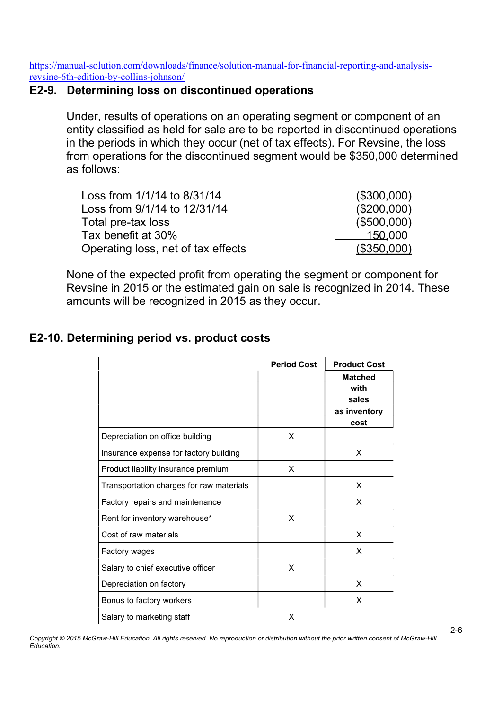#### E2-9. Determining loss on discontinued operations

Under, results of operations on an operating segment or component of an entity classified as held for sale are to be reported in discontinued operations in the periods in which they occur (net of tax effects). For Revsine, the loss from operations for the discontinued segment would be \$350,000 determined as follows:

| Loss from 1/1/14 to 8/31/14        | (\$300,000) |
|------------------------------------|-------------|
| Loss from 9/1/14 to 12/31/14       | (\$200,000) |
| Total pre-tax loss                 | (\$500,000) |
| Tax benefit at 30%                 | 150,000     |
| Operating loss, net of tax effects | (\$350,000) |

None of the expected profit from operating the segment or component for Revsine in 2015 or the estimated gain on sale is recognized in 2014. These amounts will be recognized in 2015 as they occur.

# Period Cost | Product Cost Matched with sales as inventory cost Depreciation on office building and the set of the X Insurance expense for factory building | values and values are values of  $\mathsf{X}$ Product liability insurance premium and the X Transportation charges for raw materials | Transportation charges for raw materials | X Factory repairs and maintenance  $\overline{X}$  x Rent for inventory warehouse\* The state of the X Cost of raw materials and the set of raw materials and the set of  $\vert x \vert$ Factory wages and the set of the set of the set of the set of the set of the set of the set of the set of the set of the set of the set of the set of the set of the set of the set of the set of the set of the set of the se Salary to chief executive officer  $\vert$  X Depreciation on factory **X** and  $\vert$  **X** and  $\vert$  X Bonus to factory workers **X** and  $\vert$  X Salary to marketing staff **X** and  $\vert$  X

# E2-10. Determining period vs. product costs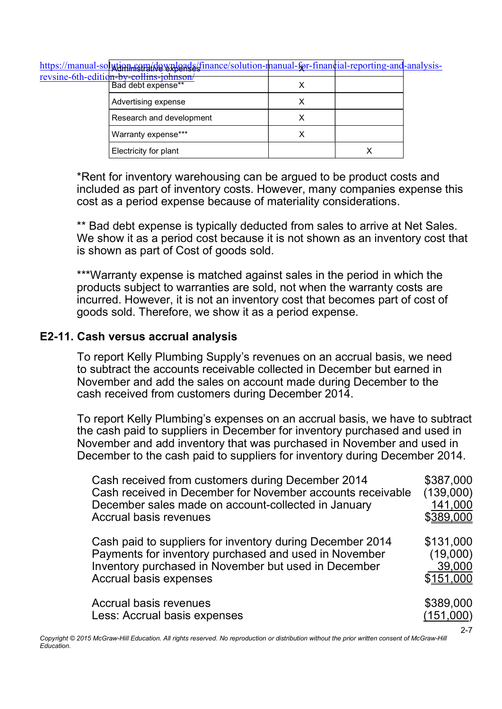<u>https://manual-so**lution.** sem</u>/downloads/finance/solution-manual-for-financial-reporting-and-analysisrevsine-6th-editi

| <u>CH-DY-COHILIS-JOHNSON</u><br>Bad debt expense** |  |
|----------------------------------------------------|--|
| Advertising expense                                |  |
| Research and development                           |  |
| Warranty expense***                                |  |
| Electricity for plant                              |  |

\*Rent for inventory warehousing can be argued to be product costs and included as part of inventory costs. However, many companies expense this cost as a period expense because of materiality considerations.

\*\* Bad debt expense is typically deducted from sales to arrive at Net Sales. We show it as a period cost because it is not shown as an inventory cost that is shown as part of Cost of goods sold.

\*\*\*Warranty expense is matched against sales in the period in which the products subject to warranties are sold, not when the warranty costs are incurred. However, it is not an inventory cost that becomes part of cost of goods sold. Therefore, we show it as a period expense.

#### E2-11. Cash versus accrual analysis

To report Kelly Plumbing Supply's revenues on an accrual basis, we need to subtract the accounts receivable collected in December but earned in November and add the sales on account made during December to the cash received from customers during December 2014.

To report Kelly Plumbing's expenses on an accrual basis, we have to subtract the cash paid to suppliers in December for inventory purchased and used in November and add inventory that was purchased in November and used in December to the cash paid to suppliers for inventory during December 2014.

| Cash received from customers during December 2014<br>Cash received in December for November accounts receivable<br>December sales made on account-collected in January<br><b>Accrual basis revenues</b> | \$387,000<br>(139,000)<br>141,000<br>\$389,000 |
|---------------------------------------------------------------------------------------------------------------------------------------------------------------------------------------------------------|------------------------------------------------|
| Cash paid to suppliers for inventory during December 2014<br>Payments for inventory purchased and used in November<br>Inventory purchased in November but used in December<br>Accrual basis expenses    | \$131,000<br>(19,000)<br>39,000<br>\$151,000   |
| Accrual basis revenues<br>Less: Accrual basis expenses                                                                                                                                                  | \$389,000<br>(151,000)                         |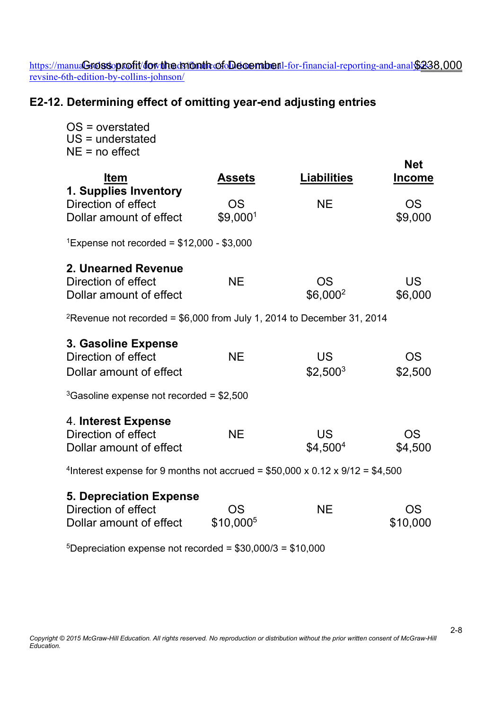https://manua**Croissoprofit/dowtheds/fonthoofoDeoember**il-for-financial-reporting-and-analy<u>\$25</u> revsine-6th-edition-by-collins-johnson/ Grossoprofit/for the daton the of December 1-for-financial-reporting-and-anal \$238,000

# E2-12. Determining effect of omitting year-end adjusting entries

| $OS = overstate$<br>$US =$ understated<br>$NE = no effect$                                          |                             |                                   |                             |
|-----------------------------------------------------------------------------------------------------|-----------------------------|-----------------------------------|-----------------------------|
| <b>Item</b><br>1. Supplies Inventory                                                                | <b>Assets</b>               | <b>Liabilities</b>                | <b>Net</b><br><b>Income</b> |
| Direction of effect<br>Dollar amount of effect                                                      | <b>OS</b><br>\$9,0001       | <b>NE</b>                         | <b>OS</b><br>\$9,000        |
| <sup>1</sup> Expense not recorded = $$12,000 - $3,000$                                              |                             |                                   |                             |
| 2. Unearned Revenue<br>Direction of effect<br>Dollar amount of effect                               | <b>NE</b>                   | <b>OS</b><br>$$6,000^2$           | <b>US</b><br>\$6,000        |
| <sup>2</sup> Revenue not recorded = $$6,000$ from July 1, 2014 to December 31, 2014                 |                             |                                   |                             |
| 3. Gasoline Expense<br>Direction of effect<br>Dollar amount of effect                               | <b>NE</b>                   | <b>US</b><br>$$2,500^3$           | <b>OS</b><br>\$2,500        |
| $3$ Gasoline expense not recorded = \$2,500                                                         |                             |                                   |                             |
| 4. Interest Expense<br>Direction of effect<br>Dollar amount of effect                               | <b>NE</b>                   | <b>US</b><br>\$4,500 <sup>4</sup> | <b>OS</b><br>\$4,500        |
| <sup>4</sup> Interest expense for 9 months not accrued = $$50,000 \times 0.12 \times 9/12 = $4,500$ |                             |                                   |                             |
| <b>5. Depreciation Expense</b><br>Direction of effect<br>Dollar amount of effect                    | OS<br>\$10,000 <sup>5</sup> | <b>NE</b>                         | OS<br>\$10,000              |

 $5$ Depreciation expense not recorded = \$30,000/3 = \$10,000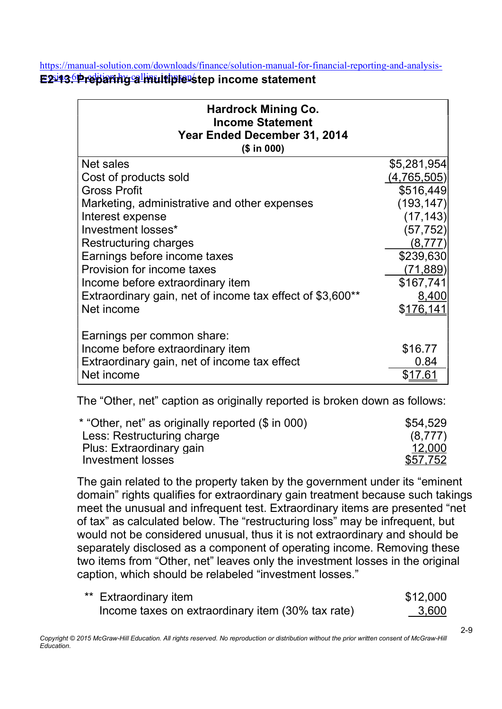https://manual-solution.com/downloads/finance/solution-manual-for-financial-reporting-and-analysis-

E2-13. Preparing a multiple-step income statement

| <b>Hardrock Mining Co.</b><br><b>Income Statement</b><br>Year Ended December 31, 2014<br>(\$ in 000) |             |
|------------------------------------------------------------------------------------------------------|-------------|
| Net sales                                                                                            | \$5,281,954 |
| Cost of products sold                                                                                | (4,765,505) |
| <b>Gross Profit</b>                                                                                  | \$516,449   |
| Marketing, administrative and other expenses                                                         | (193, 147)  |
| Interest expense                                                                                     | (17, 143)   |
| Investment losses*                                                                                   | (57, 752)   |
| Restructuring charges                                                                                | (8,777)     |
| Earnings before income taxes                                                                         | \$239,630   |
| Provision for income taxes                                                                           | (71, 889)   |
| Income before extraordinary item                                                                     | \$167,741   |
| Extraordinary gain, net of income tax effect of \$3,600**                                            | 8,400       |
| Net income                                                                                           | \$176,141   |
| Earnings per common share:                                                                           |             |
| Income before extraordinary item                                                                     | \$16.77     |
| Extraordinary gain, net of income tax effect                                                         | 0.84        |
| Net income                                                                                           | \$17.61     |

The "Other, net" caption as originally reported is broken down as follows:

| \$54,529 |
|----------|
| (8.777)  |
| 12.000   |
| \$57,752 |
|          |

The gain related to the property taken by the government under its "eminent domain" rights qualifies for extraordinary gain treatment because such takings meet the unusual and infrequent test. Extraordinary items are presented "net of tax" as calculated below. The "restructuring loss" may be infrequent, but would not be considered unusual, thus it is not extraordinary and should be separately disclosed as a component of operating income. Removing these two items from "Other, net" leaves only the investment losses in the original caption, which should be relabeled "investment losses."

| ** Extraordinary item                             | \$12,000 |
|---------------------------------------------------|----------|
| Income taxes on extraordinary item (30% tax rate) | 3,600    |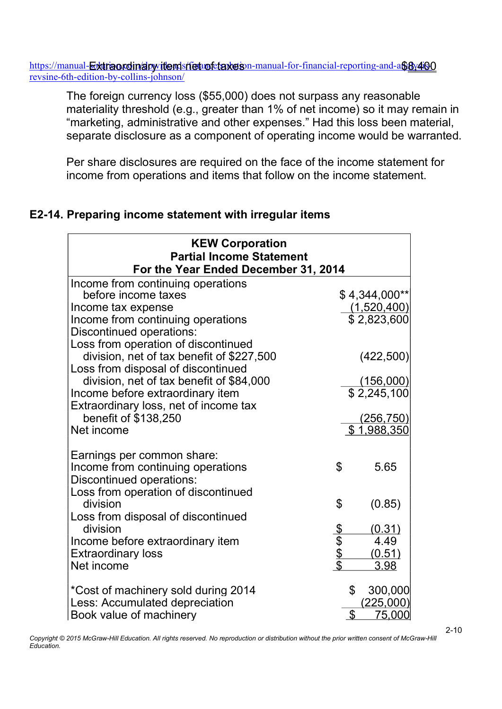https://manual-<del>Ex</del>t**riaordin/ary item shet of taxes** on-manual-for-financial-reporting-and-a\$<u>8y400</u> revsine-6th-edition-by-collins-johnson/

The foreign currency loss (\$55,000) does not surpass any reasonable materiality threshold (e.g., greater than 1% of net income) so it may remain in "marketing, administrative and other expenses." Had this loss been material, separate disclosure as a component of operating income would be warranted.

Per share disclosures are required on the face of the income statement for income from operations and items that follow on the income statement.

# E2-14. Preparing income statement with irregular items

| <b>KEW Corporation</b><br><b>Partial Income Statement</b>                                   |        |                            |
|---------------------------------------------------------------------------------------------|--------|----------------------------|
| For the Year Ended December 31, 2014                                                        |        |                            |
| Income from continuing operations                                                           |        |                            |
| before income taxes                                                                         |        | $$4,344,000**$             |
| Income tax expense                                                                          |        | (1,520,400)                |
| Income from continuing operations                                                           |        | \$2,823,600                |
| Discontinued operations:                                                                    |        |                            |
| Loss from operation of discontinued<br>division, net of tax benefit of \$227,500            |        | (422,500)                  |
| Loss from disposal of discontinued                                                          |        |                            |
| division, net of tax benefit of \$84,000                                                    |        | (156,000)                  |
| Income before extraordinary item                                                            |        | \$2,245,100                |
| Extraordinary loss, net of income tax                                                       |        |                            |
| benefit of \$138,250                                                                        |        | (256, 750)                 |
| Net income                                                                                  |        | \$1,988,350                |
| Earnings per common share:<br>Income from continuing operations<br>Discontinued operations: | \$     | 5.65                       |
| Loss from operation of discontinued<br>division<br>Loss from disposal of discontinued       | \$     | (0.85)                     |
| division                                                                                    |        | (0.31)                     |
| Income before extraordinary item                                                            |        | 4.49                       |
| <b>Extraordinary loss</b>                                                                   | சிசைக் | (0.51)                     |
| Net income                                                                                  |        | 3.98                       |
| *Cost of machinery sold during 2014<br>Less: Accumulated depreciation                       |        | \$<br>300,000<br>(225,000) |
| Book value of machinery                                                                     |        | $\mathfrak{L}$<br>75,000   |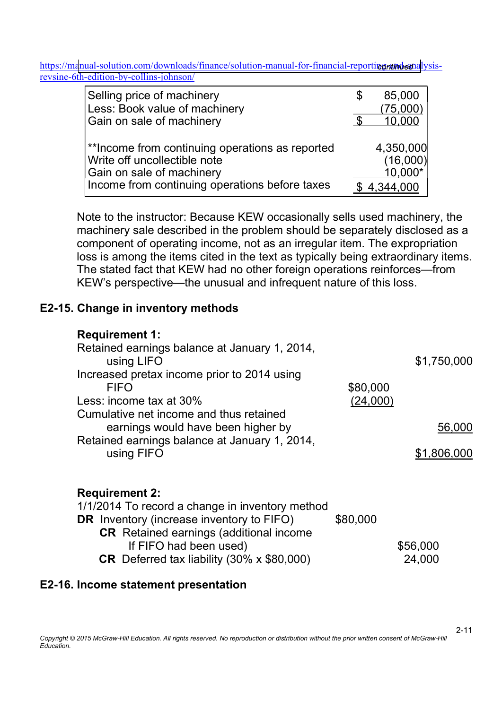| Selling price of machinery                      | S | 85,000    |
|-------------------------------------------------|---|-----------|
| Less: Book value of machinery                   |   | (75,000)  |
| Gain on sale of machinery                       |   | 10,000    |
| **Income from continuing operations as reported |   | 4,350,000 |
| Write off uncollectible note                    |   | (16,000)  |
| Gain on sale of machinery                       |   | 10,000*   |
| Income from continuing operations before taxes  |   | 4,344,000 |

Note to the instructor: Because KEW occasionally sells used machinery, the machinery sale described in the problem should be separately disclosed as a component of operating income, not as an irregular item. The expropriation loss is among the items cited in the text as typically being extraordinary items. The stated fact that KEW had no other foreign operations reinforces—from KEW's perspective—the unusual and infrequent nature of this loss.

## E2-15. Change in inventory methods

| <b>Requirement 1:</b><br>Retained earnings balance at January 1, 2014,<br>using LIFO<br>Increased pretax income prior to 2014 using<br><b>FIFO</b><br>Less: income tax at 30%<br>Cumulative net income and thus retained | \$80,000<br>(24,000) | \$1,750,000           |
|--------------------------------------------------------------------------------------------------------------------------------------------------------------------------------------------------------------------------|----------------------|-----------------------|
| earnings would have been higher by<br>Retained earnings balance at January 1, 2014,<br>using FIFO                                                                                                                        |                      | 56,000<br>\$1,806,000 |
| <b>Requirement 2:</b><br>1/1/2014 To record a change in inventory method<br><b>DR</b> Inventory (increase inventory to FIFO)                                                                                             | \$80,000             |                       |

| <b>CR</b> Retained earnings (additional income           |          |
|----------------------------------------------------------|----------|
| If FIFO had been used)                                   | \$56,000 |
| <b>CR</b> Deferred tax liability $(30\% \times $80,000)$ | 24,000   |

## E2-16. Income statement presentation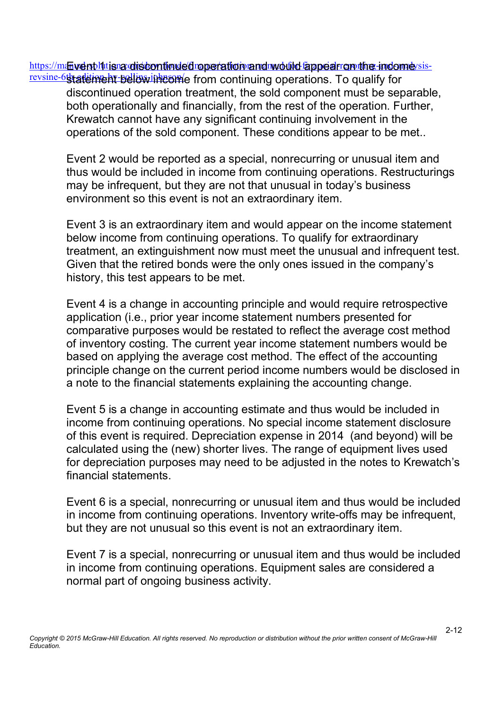https://manvelnpl1ttjsna oliscontinued reperation and would fappear on the indomeysisrevsine-6that time ht below income from continuing operations. To qualify for

discontinued operation treatment, the sold component must be separable, both operationally and financially, from the rest of the operation. Further, Krewatch cannot have any significant continuing involvement in the operations of the sold component. These conditions appear to be met..

Event 2 would be reported as a special, nonrecurring or unusual item and thus would be included in income from continuing operations. Restructurings may be infrequent, but they are not that unusual in today's business environment so this event is not an extraordinary item.

Event 3 is an extraordinary item and would appear on the income statement below income from continuing operations. To qualify for extraordinary treatment, an extinguishment now must meet the unusual and infrequent test. Given that the retired bonds were the only ones issued in the company's history, this test appears to be met.

Event 4 is a change in accounting principle and would require retrospective application (i.e., prior year income statement numbers presented for comparative purposes would be restated to reflect the average cost method of inventory costing. The current year income statement numbers would be based on applying the average cost method. The effect of the accounting principle change on the current period income numbers would be disclosed in a note to the financial statements explaining the accounting change.

Event 5 is a change in accounting estimate and thus would be included in income from continuing operations. No special income statement disclosure of this event is required. Depreciation expense in 2014 (and beyond) will be calculated using the (new) shorter lives. The range of equipment lives used for depreciation purposes may need to be adjusted in the notes to Krewatch's financial statements.

Event 6 is a special, nonrecurring or unusual item and thus would be included in income from continuing operations. Inventory write-offs may be infrequent, but they are not unusual so this event is not an extraordinary item.

Event 7 is a special, nonrecurring or unusual item and thus would be included in income from continuing operations. Equipment sales are considered a normal part of ongoing business activity.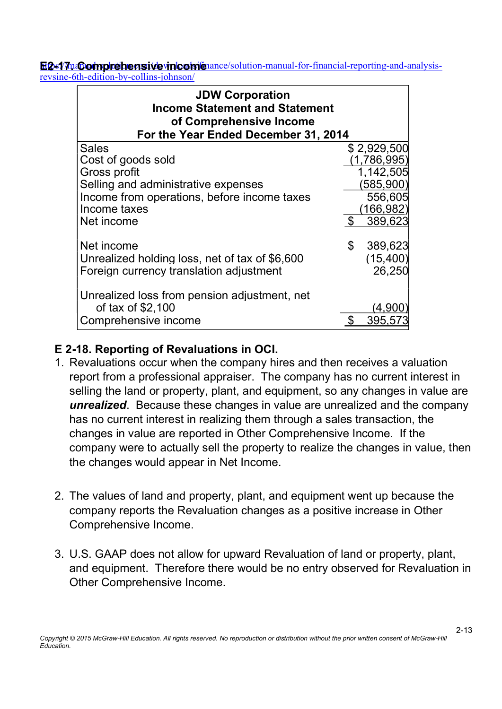E2-17naComprehensive income ance/solution-manual-for-financial-reporting-and-analysisrevsine-6th-edition-by-collins-johnson/

| <b>JDW Corporation</b><br><b>Income Statement and Statement</b><br>of Comprehensive Income<br>For the Year Ended December 31, 2014 |     |             |
|------------------------------------------------------------------------------------------------------------------------------------|-----|-------------|
| <b>Sales</b>                                                                                                                       |     | \$2,929,500 |
| Cost of goods sold                                                                                                                 |     | (1,786,995) |
| Gross profit                                                                                                                       |     | 1,142,505   |
| Selling and administrative expenses                                                                                                |     | (585,900)   |
| Income from operations, before income taxes                                                                                        |     | 556,605     |
| Income taxes                                                                                                                       |     | (166, 982)  |
| Net income                                                                                                                         | - S | 389,623     |
| Net income                                                                                                                         | \$  | 389,623     |
| Unrealized holding loss, net of tax of \$6,600                                                                                     |     | (15, 400)   |
| Foreign currency translation adjustment                                                                                            |     | 26,250      |
| Unrealized loss from pension adjustment, net                                                                                       |     |             |
| of tax of \$2,100                                                                                                                  |     |             |
| Comprehensive income                                                                                                               |     | 395.5       |

# E 2-18. Reporting of Revaluations in OCI.

- 1. Revaluations occur when the company hires and then receives a valuation report from a professional appraiser. The company has no current interest in selling the land or property, plant, and equipment, so any changes in value are unrealized. Because these changes in value are unrealized and the company has no current interest in realizing them through a sales transaction, the changes in value are reported in Other Comprehensive Income. If the company were to actually sell the property to realize the changes in value, then the changes would appear in Net Income.
- 2. The values of land and property, plant, and equipment went up because the company reports the Revaluation changes as a positive increase in Other Comprehensive Income.
- 3. U.S. GAAP does not allow for upward Revaluation of land or property, plant, and equipment. Therefore there would be no entry observed for Revaluation in Other Comprehensive Income.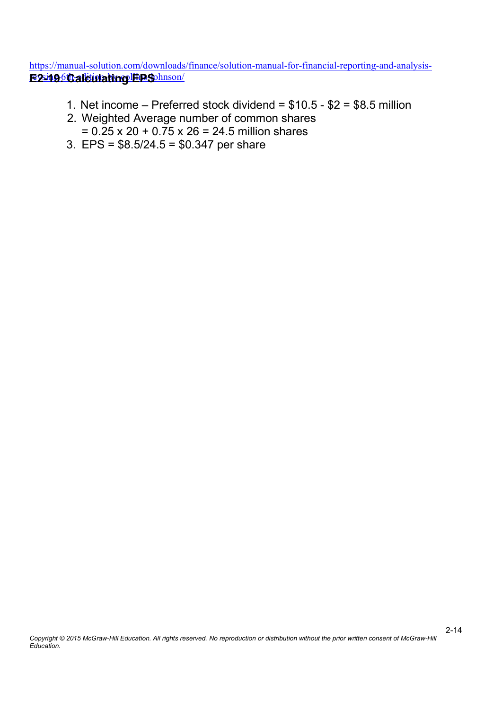https://manual-solution.com/downloads/finance/solution-manual-for-financial-reporting-and-analysis-<u>E2-196Calculating EPS hnson/</u>

- 1. Net income Preferred stock dividend =  $$10.5 $2 = $8.5$  million
- 2. Weighted Average number of common shares  $= 0.25 \times 20 + 0.75 \times 26 = 24.5$  million shares
- 3. EPS = \$8.5/24.5 = \$0.347 per share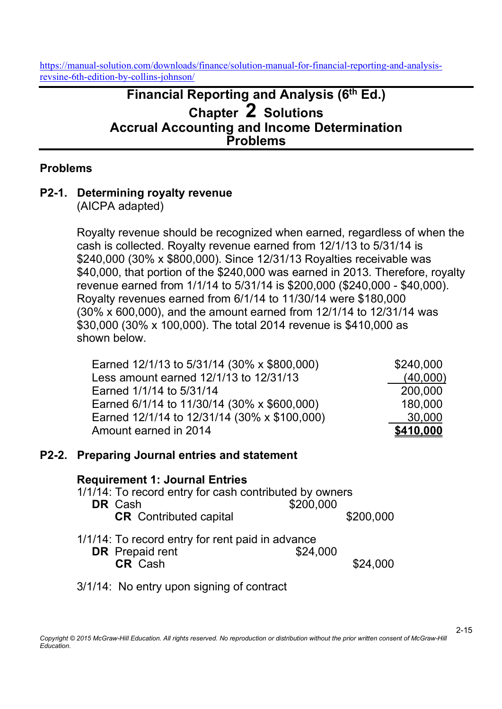# Financial Reporting and Analysis (6<sup>th</sup> Ed.) Chapter 2 Solutions Accrual Accounting and Income Determination Problems

## Problems

## P2-1. Determining royalty revenue

(AICPA adapted)

Royalty revenue should be recognized when earned, regardless of when the cash is collected. Royalty revenue earned from 12/1/13 to 5/31/14 is \$240,000 (30% x \$800,000). Since 12/31/13 Royalties receivable was \$40,000, that portion of the \$240,000 was earned in 2013. Therefore, royalty revenue earned from 1/1/14 to 5/31/14 is \$200,000 (\$240,000 - \$40,000). Royalty revenues earned from 6/1/14 to 11/30/14 were \$180,000 (30% x 600,000), and the amount earned from 12/1/14 to 12/31/14 was \$30,000 (30% x 100,000). The total 2014 revenue is \$410,000 as shown below.

| Earned 12/1/13 to 5/31/14 (30% x \$800,000)  | \$240,000 |
|----------------------------------------------|-----------|
| Less amount earned 12/1/13 to 12/31/13       | (40,000)  |
| Earned 1/1/14 to 5/31/14                     | 200,000   |
| Earned 6/1/14 to 11/30/14 (30% x \$600,000)  | 180,000   |
| Earned 12/1/14 to 12/31/14 (30% x \$100,000) | 30,000    |
| Amount earned in 2014                        | \$410,000 |

#### P2-2. Preparing Journal entries and statement

#### Requirement 1: Journal Entries

- 1/1/14: To record entry for cash contributed by owners **DR** Cash \$200,000 CR Contributed capital  $$200,000$
- 1/1/14: To record entry for rent paid in advance **DR** Prepaid rent \$24,000 **CR** Cash \$24,000

## 3/1/14: No entry upon signing of contract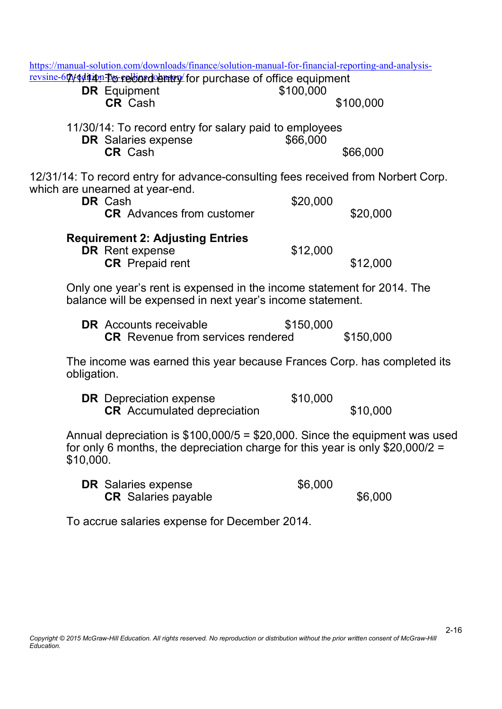|             | https://manual-solution.com/downloads/finance/solution-manual-for-financial-reporting-and-analysis-                                                                        |           |           |
|-------------|----------------------------------------------------------------------------------------------------------------------------------------------------------------------------|-----------|-----------|
|             | revsine-60/444440n-bo-relordentry for purchase of office equipment<br><b>DR</b> Equipment<br><b>CR Cash</b>                                                                | \$100,000 | \$100,000 |
|             | 11/30/14: To record entry for salary paid to employees<br><b>DR</b> Salaries expense<br><b>CR</b> Cash                                                                     | \$66,000  | \$66,000  |
|             | 12/31/14: To record entry for advance-consulting fees received from Norbert Corp.<br>which are unearned at year-end.<br><b>DR</b> Cash<br><b>CR</b> Advances from customer | \$20,000  | \$20,000  |
|             | <b>Requirement 2: Adjusting Entries</b><br><b>DR</b> Rent expense<br><b>CR</b> Prepaid rent                                                                                | \$12,000  | \$12,000  |
|             | Only one year's rent is expensed in the income statement for 2014. The<br>balance will be expensed in next year's income statement.                                        |           |           |
|             | <b>DR</b> Accounts receivable<br><b>CR</b> Revenue from services rendered                                                                                                  | \$150,000 | \$150,000 |
| obligation. | The income was earned this year because Frances Corp. has completed its                                                                                                    |           |           |
|             | <b>DR</b> Depreciation expense<br><b>CR</b> Accumulated depreciation                                                                                                       | \$10,000  | \$10,000  |
| \$10,000.   | Annual depreciation is $$100,000/5 = $20,000$ . Since the equipment was used<br>for only 6 months, the depreciation charge for this year is only \$20,000/2 =              |           |           |
|             | <b>DR</b> Salaries expense<br><b>CR</b> Salaries payable                                                                                                                   | \$6,000   | \$6,000   |
|             | To accrue salaries expense for December 2014.                                                                                                                              |           |           |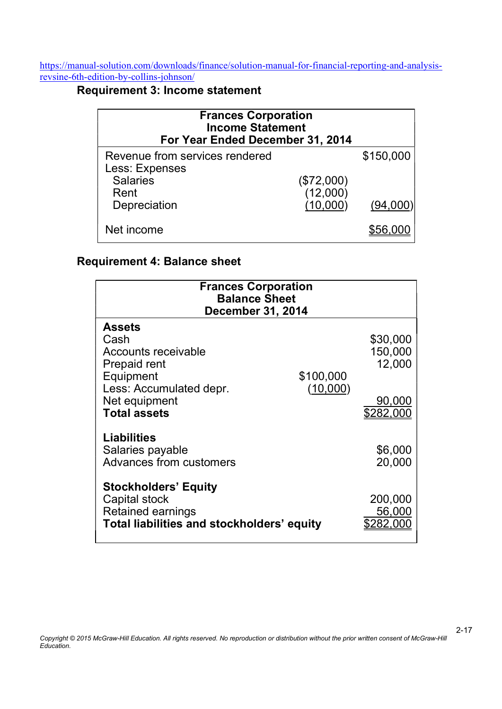# Requirement 3: Income statement

| <b>Frances Corporation</b><br><b>Income Statement</b><br>For Year Ended December 31, 2014 |                      |           |
|-------------------------------------------------------------------------------------------|----------------------|-----------|
| Revenue from services rendered<br>Less: Expenses<br><b>Salaries</b>                       | (\$72,000)           | \$150,000 |
| Rent<br>Depreciation                                                                      | (12,000)<br>(10,000) | (94,000)  |
| Net income                                                                                |                      |           |

## Requirement 4: Balance sheet

| <b>Frances Corporation</b><br><b>Balance Sheet</b> |                          |           |  |  |  |  |  |
|----------------------------------------------------|--------------------------|-----------|--|--|--|--|--|
|                                                    | <b>December 31, 2014</b> |           |  |  |  |  |  |
| <b>Assets</b>                                      |                          |           |  |  |  |  |  |
| Cash                                               |                          | \$30,000  |  |  |  |  |  |
| <b>Accounts receivable</b>                         |                          | 150,000   |  |  |  |  |  |
| Prepaid rent                                       |                          | 12,000    |  |  |  |  |  |
| Equipment                                          | \$100,000                |           |  |  |  |  |  |
| Less: Accumulated depr.                            | (10,000)                 |           |  |  |  |  |  |
| Net equipment                                      |                          | 90,000    |  |  |  |  |  |
| <b>Total assets</b>                                |                          | \$282,000 |  |  |  |  |  |
| <b>Liabilities</b>                                 |                          |           |  |  |  |  |  |
| Salaries payable                                   |                          | \$6,000   |  |  |  |  |  |
| Advances from customers                            |                          | 20,000    |  |  |  |  |  |
|                                                    |                          |           |  |  |  |  |  |
| <b>Stockholders' Equity</b>                        |                          |           |  |  |  |  |  |
| Capital stock                                      |                          | 200,000   |  |  |  |  |  |
| <b>Retained earnings</b>                           |                          | 56,000    |  |  |  |  |  |
| Total liabilities and stockholders' equity         |                          | \$282.000 |  |  |  |  |  |
|                                                    |                          |           |  |  |  |  |  |

2-17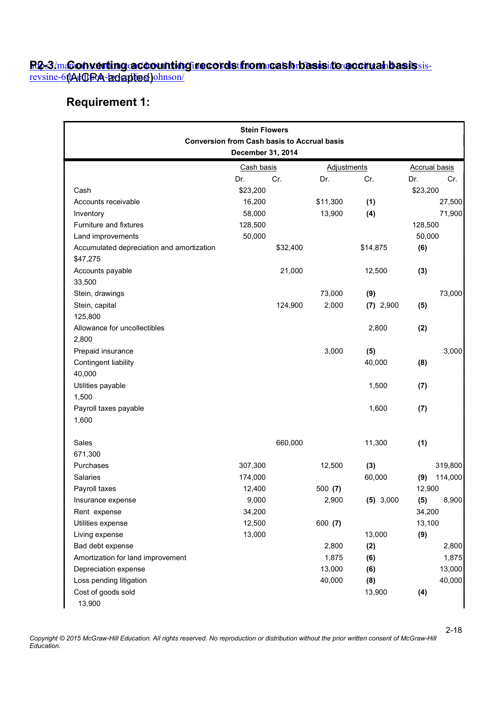#### <u>R&3/m&onverting@coountingirecordstfrom:cashrbasiside@ccruahbasissis-</u> revsine-6th4t GRA-adaptied johnson/ <u>R2-3/m&onverting accounting records from cash basis to accrual basis </u> <u>revsine-61/AtCIRA-adaptied)</u>

# Requirement 1:

| <b>Stein Flowers</b><br><b>Conversion from Cash basis to Accrual basis</b><br>December 31, 2014 |            |          |                    |             |                      |         |  |
|-------------------------------------------------------------------------------------------------|------------|----------|--------------------|-------------|----------------------|---------|--|
|                                                                                                 | Cash basis |          | <b>Adjustments</b> |             | <b>Accrual basis</b> |         |  |
|                                                                                                 | Dr.        | Cr.      | Dr.                | Cr.         | Dr.                  | Cr.     |  |
| Cash                                                                                            | \$23,200   |          |                    |             | \$23,200             |         |  |
| Accounts receivable                                                                             | 16,200     |          | \$11,300           | (1)         |                      | 27,500  |  |
| Inventory                                                                                       | 58,000     |          | 13,900             | (4)         |                      | 71,900  |  |
| Furniture and fixtures                                                                          | 128,500    |          |                    |             | 128,500              |         |  |
| Land improvements                                                                               | 50,000     |          |                    |             | 50,000               |         |  |
| Accumulated depreciation and amortization<br>\$47,275                                           |            | \$32,400 |                    | \$14,875    | (6)                  |         |  |
| Accounts payable                                                                                |            | 21,000   |                    | 12,500      | (3)                  |         |  |
| 33,500                                                                                          |            |          |                    |             |                      |         |  |
| Stein, drawings                                                                                 |            |          | 73,000             | (9)         |                      | 73,000  |  |
| Stein, capital                                                                                  |            | 124,900  | 2,000              | $(7)$ 2,900 | (5)                  |         |  |
| 125,800                                                                                         |            |          |                    |             |                      |         |  |
| Allowance for uncollectibles                                                                    |            |          |                    | 2,800       | (2)                  |         |  |
| 2,800                                                                                           |            |          |                    |             |                      |         |  |
| Prepaid insurance                                                                               |            |          | 3,000              | (5)         |                      | 3,000   |  |
| Contingent liability                                                                            |            |          |                    | 40,000      | (8)                  |         |  |
| 40,000                                                                                          |            |          |                    |             |                      |         |  |
| Utilities payable                                                                               |            |          |                    | 1,500       | (7)                  |         |  |
| 1,500                                                                                           |            |          |                    |             |                      |         |  |
| Payroll taxes payable                                                                           |            |          |                    | 1,600       | (7)                  |         |  |
| 1,600                                                                                           |            |          |                    |             |                      |         |  |
| Sales                                                                                           |            | 660,000  |                    | 11,300      | (1)                  |         |  |
| 671,300                                                                                         |            |          |                    |             |                      |         |  |
| Purchases                                                                                       | 307,300    |          | 12,500             | (3)         |                      | 319,800 |  |
| <b>Salaries</b>                                                                                 | 174,000    |          |                    | 60,000      | (9)                  | 114,000 |  |
| Payroll taxes                                                                                   | 12,400     |          | 500(7)             |             | 12,900               |         |  |
| Insurance expense                                                                               | 9,000      |          | 2,900              | (5) 3,000   | (5)                  | 8,900   |  |
| Rent expense                                                                                    | 34,200     |          |                    |             | 34,200               |         |  |
| Utilities expense                                                                               | 12,500     |          | 600 (7)            |             | 13,100               |         |  |
| Living expense                                                                                  | 13,000     |          |                    | 13,000      | (9)                  |         |  |
| Bad debt expense                                                                                |            |          | 2,800              | (2)         |                      | 2,800   |  |
| Amortization for land improvement                                                               |            |          | 1,875              | (6)         |                      | 1,875   |  |
| Depreciation expense                                                                            |            |          | 13,000             | (6)         |                      | 13,000  |  |
| Loss pending litigation                                                                         |            |          | 40,000             | (8)         |                      | 40,000  |  |
| Cost of goods sold<br>13,900                                                                    |            |          |                    | 13,900      | (4)                  |         |  |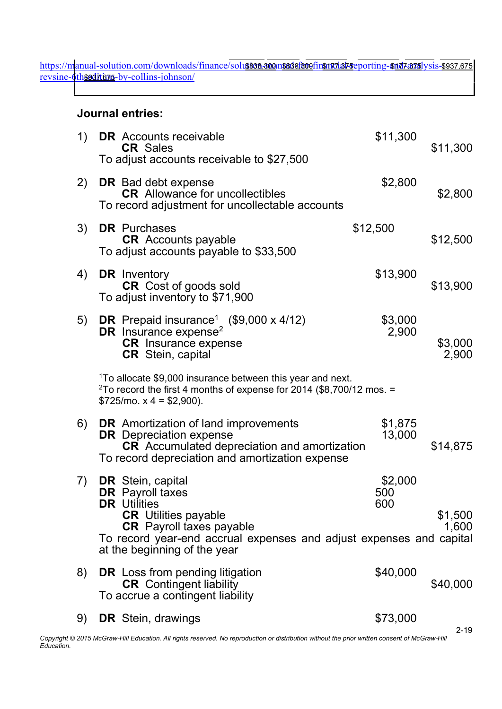https://m<mark>anual-solution.com/downloads/finance/solution.ano.ansedefecefinanvial-reporting-sud7a7sl</mark>ysisrevsine-6thseditions-by-collins-johnson/ <u>3838,300 and I-solution.com/downloads/finance/solu\$838,300 n\$838;800 fin\$177,375 sporting-\$177,375 ysis-\$937,675</u> <u>th\$9371,6715-</u>

## Journal entries:

| 1) | <b>DR</b> Accounts receivable<br><b>CR Sales</b><br>To adjust accounts receivable to \$27,500                                                                                                                                                       | \$11,300              | \$11,300         |
|----|-----------------------------------------------------------------------------------------------------------------------------------------------------------------------------------------------------------------------------------------------------|-----------------------|------------------|
| 2) | <b>DR</b> Bad debt expense<br><b>CR</b> Allowance for uncollectibles<br>To record adjustment for uncollectable accounts                                                                                                                             | \$2,800               | \$2,800          |
| 3) | <b>DR</b> Purchases<br><b>CR</b> Accounts payable<br>To adjust accounts payable to \$33,500                                                                                                                                                         | \$12,500              | \$12,500         |
| 4) | <b>DR</b> Inventory<br><b>CR</b> Cost of goods sold<br>To adjust inventory to \$71,900                                                                                                                                                              | \$13,900              | \$13,900         |
| 5) | <b>DR</b> Prepaid insurance <sup>1</sup> (\$9,000 x 4/12)<br>DR Insurance expense <sup>2</sup><br><b>CR</b> Insurance expense<br><b>CR</b> Stein, capital                                                                                           | \$3,000<br>2,900      | \$3,000<br>2,900 |
|    | <sup>1</sup> To allocate \$9,000 insurance between this year and next.<br><sup>2</sup> To record the first 4 months of expense for 2014 (\$8,700/12 mos. =<br>$$725/mo. x 4 = $2,900$ ).                                                            |                       |                  |
| 6) | <b>DR</b> Amortization of land improvements<br><b>DR</b> Depreciation expense<br><b>CR</b> Accumulated depreciation and amortization<br>To record depreciation and amortization expense                                                             | \$1,875<br>13,000     | \$14,875         |
| 7) | <b>DR</b> Stein, capital<br><b>DR</b> Payroll taxes<br><b>DR</b> Utilities<br><b>CR</b> Utilities payable<br><b>CR</b> Payroll taxes payable<br>To record year-end accrual expenses and adjust expenses and capital<br>at the beginning of the year | \$2,000<br>500<br>600 | \$1,500<br>1,600 |
| 8) | <b>DR</b> Loss from pending litigation<br><b>CR</b> Contingent liability<br>To accrue a contingent liability                                                                                                                                        | \$40,000              | \$40,000         |
| 9) | <b>DR</b> Stein, drawings                                                                                                                                                                                                                           | \$73,000              |                  |

2-19